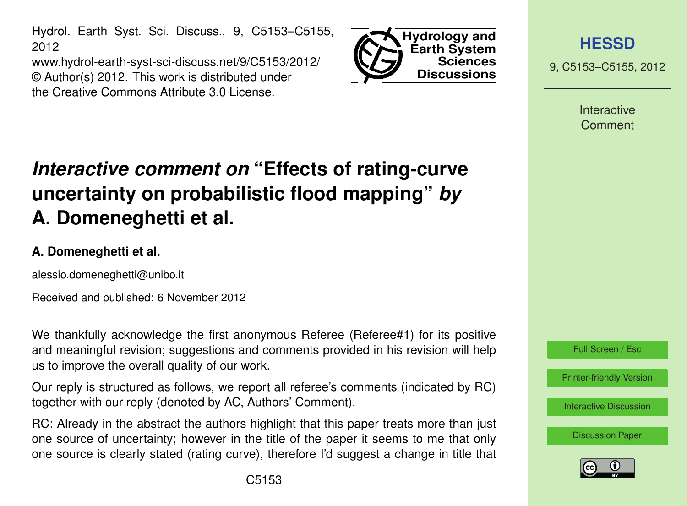Hydrol. Earth Syst. Sci. Discuss., 9, C5153–C5155, 2012

www.hydrol-earth-syst-sci-discuss.net/9/C5153/2012/ © Author(s) 2012. This work is distributed under the Creative Commons Attribute 3.0 License.



**[HESSD](http://www.hydrol-earth-syst-sci-discuss.net)**

9, C5153–C5155, 2012

**Interactive** Comment

## *Interactive comment on* **"Effects of rating-curve uncertainty on probabilistic flood mapping"** *by* **A. Domeneghetti et al.**

## **A. Domeneghetti et al.**

alessio.domeneghetti@unibo.it

Received and published: 6 November 2012

We thankfully acknowledge the first anonymous Referee (Referee#1) for its positive and meaningful revision; suggestions and comments provided in his revision will help us to improve the overall quality of our work.

Our reply is structured as follows, we report all referee's comments (indicated by RC) together with our reply (denoted by AC, Authors' Comment).

RC: Already in the abstract the authors highlight that this paper treats more than just one source of uncertainty; however in the title of the paper it seems to me that only one source is clearly stated (rating curve), therefore I'd suggest a change in title that



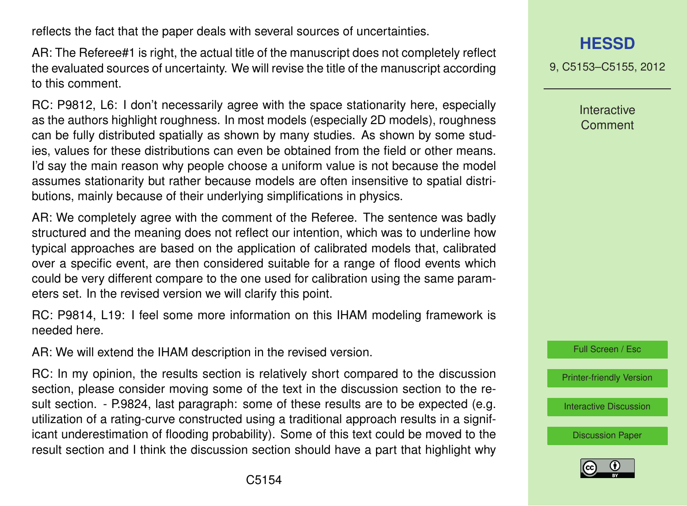reflects the fact that the paper deals with several sources of uncertainties.

AR: The Referee#1 is right, the actual title of the manuscript does not completely reflect the evaluated sources of uncertainty. We will revise the title of the manuscript according to this comment.

RC: P9812, L6: I don't necessarily agree with the space stationarity here, especially as the authors highlight roughness. In most models (especially 2D models), roughness can be fully distributed spatially as shown by many studies. As shown by some studies, values for these distributions can even be obtained from the field or other means. I'd say the main reason why people choose a uniform value is not because the model assumes stationarity but rather because models are often insensitive to spatial distributions, mainly because of their underlying simplifications in physics.

AR: We completely agree with the comment of the Referee. The sentence was badly structured and the meaning does not reflect our intention, which was to underline how typical approaches are based on the application of calibrated models that, calibrated over a specific event, are then considered suitable for a range of flood events which could be very different compare to the one used for calibration using the same parameters set. In the revised version we will clarify this point.

RC: P9814, L19: I feel some more information on this IHAM modeling framework is needed here.

AR: We will extend the IHAM description in the revised version.

RC: In my opinion, the results section is relatively short compared to the discussion section, please consider moving some of the text in the discussion section to the result section. - P.9824, last paragraph: some of these results are to be expected (e.g. utilization of a rating-curve constructed using a traditional approach results in a significant underestimation of flooding probability). Some of this text could be moved to the result section and I think the discussion section should have a part that highlight why 9, C5153–C5155, 2012

Interactive **Comment** 



[Printer-friendly Version](http://www.hydrol-earth-syst-sci-discuss.net/9/C5153/2012/hessd-9-C5153-2012-print.pdf)

[Interactive Discussion](http://www.hydrol-earth-syst-sci-discuss.net/9/9809/2012/hessd-9-9809-2012-discussion.html)

[Discussion Paper](http://www.hydrol-earth-syst-sci-discuss.net/9/9809/2012/hessd-9-9809-2012.pdf)